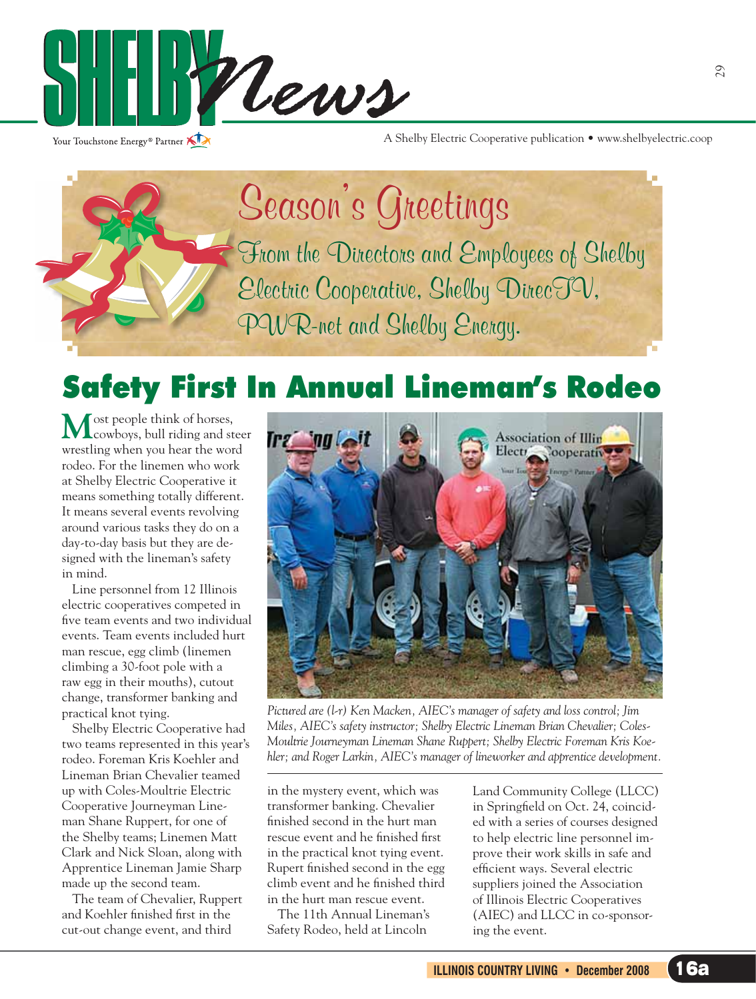

Your Touchstone Energy® Partner

A Shelby Electric Cooperative publication • www.shelbyelectric.coop

**Season's Greetings From the Directors and Employees of Shelby F Electric Cooperative, Shelby DirecTV, E PWR-net and Shelby Energy. P**

# Safety First In Annual Lineman's Rodeo

 $M$ ost people think of horses,<br>cowboys, bull riding and steer wrestling when you hear the word rodeo. For the linemen who work at Shelby Electric Cooperative it means something totally different. It means several events revolving around various tasks they do on a day-to-day basis but they are designed with the lineman's safety in mind.

Line personnel from 12 Illinois electric cooperatives competed in five team events and two individual events. Team events included hurt man rescue, egg climb (linemen climbing a 30-foot pole with a raw egg in their mouths), cutout change, transformer banking and practical knot tying.

 Shelby Electric Cooperative had two teams represented in this year's rodeo. Foreman Kris Koehler and Lineman Brian Chevalier teamed up with Coles-Moultrie Electric Cooperative Journeyman Lineman Shane Ruppert, for one of the Shelby teams; Linemen Matt Clark and Nick Sloan, along with Apprentice Lineman Jamie Sharp made up the second team.

 The team of Chevalier, Ruppert and Koehler finished first in the cut-out change event, and third



*Pictured are (l-r) Ken Macken, AIEC's manager of safety and loss control; Jim Miles, AIEC's safety instructor; Shelby Electric Lineman Brian Chevalier; Coles-Moultrie Journeyman Lineman Shane Ruppert; Shelby Electric Foreman Kris Koehler; and Roger Larkin, AIEC's manager of lineworker and apprentice development.*

in the mystery event, which was transformer banking. Chevalier finished second in the hurt man rescue event and he finished first in the practical knot tying event. Rupert finished second in the egg climb event and he finished third in the hurt man rescue event.

 The 11th Annual Lineman's Safety Rodeo, held at Lincoln

Land Community College (LLCC) in Springfield on Oct. 24, coincided with a series of courses designed to help electric line personnel improve their work skills in safe and efficient ways. Several electric suppliers joined the Association of Illinois Electric Cooperatives (AIEC) and LLCC in co-sponsoring the event.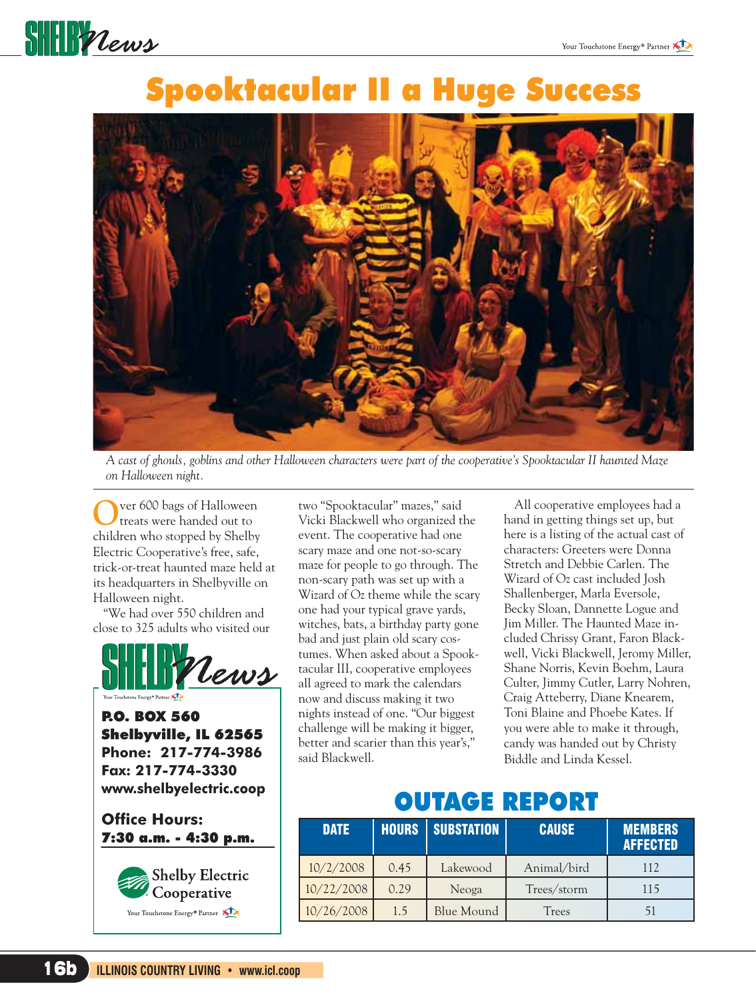

## Spooktacular II a Huge Success



*A cast of ghouls, goblins and other Halloween characters were part of the cooperative's Spooktacular II haunted Maze on Halloween night.*

ver 600 bags of Halloween treats were handed out to children who stopped by Shelby Electric Cooperative's free, safe, trick-or-treat haunted maze held at its headquarters in Shelbyville on Halloween night.

 "We had over 550 children and close to 325 adults who visited our



P.O. BOX 560 Shelbyville, IL 62565 **Phone: 217-774-3986 Fax: 217-774-3330 www.shelbyelectric.coop**

**Office Hours:** 7:30 a.m. - 4:30 p.m.



two "Spooktacular" mazes," said Vicki Blackwell who organized the event. The cooperative had one scary maze and one not-so-scary maze for people to go through. The non-scary path was set up with a Wizard of Oz theme while the scary one had your typical grave yards, witches, bats, a birthday party gone bad and just plain old scary costumes. When asked about a Spooktacular III, cooperative employees all agreed to mark the calendars now and discuss making it two nights instead of one. "Our biggest challenge will be making it bigger, better and scarier than this year's," said Blackwell.

 All cooperative employees had a hand in getting things set up, but here is a listing of the actual cast of characters: Greeters were Donna Stretch and Debbie Carlen. The Wizard of Oz cast included Josh Shallenberger, Marla Eversole, Becky Sloan, Dannette Logue and Jim Miller. The Haunted Maze included Chrissy Grant, Faron Blackwell, Vicki Blackwell, Jeromy Miller, Shane Norris, Kevin Boehm, Laura Culter, Jimmy Cutler, Larry Nohren, Craig Atteberry, Diane Knearem, Toni Blaine and Phoebe Kates. If you were able to make it through, candy was handed out by Christy Biddle and Linda Kessel.

#### OUTAGE REPORT

| <b>DATE</b> | <b>HOURS</b> | <b>SUBSTATION</b> | <b>CAUSE</b> | <b>MEMBERS</b><br><b>AFFECTED</b> |
|-------------|--------------|-------------------|--------------|-----------------------------------|
| 10/2/2008   | 0.45         | Lakewood          | Animal/bird  | 112                               |
| 10/22/2008  | 0.29         | Neoga             | Trees/storm  | 115                               |
| 10/26/2008  | 1.5          | Blue Mound        | Trees        |                                   |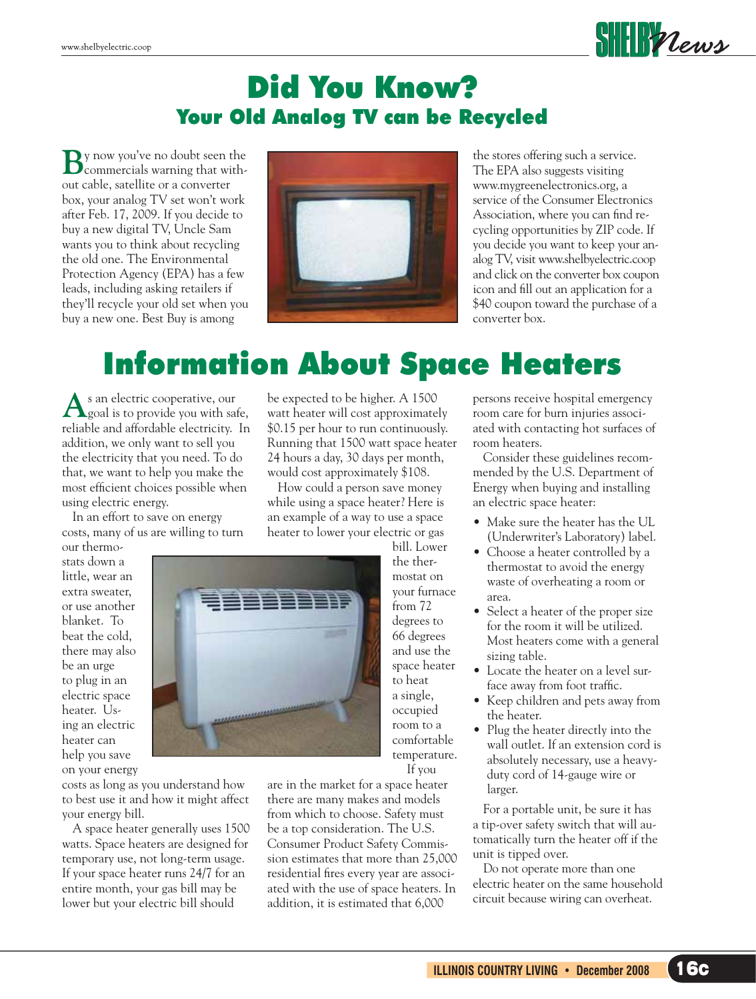

#### Did You Know? Your Old Analog TV can be Recycled

**B**y now you've no doubt seen the commercials warning that without cable, satellite or a converter box, your analog TV set won't work after Feb. 17, 2009. If you decide to buy a new digital TV, Uncle Sam wants you to think about recycling the old one. The Environmental Protection Agency (EPA) has a few leads, including asking retailers if they'll recycle your old set when you buy a new one. Best Buy is among



the stores offering such a service. The EPA also suggests visiting www.mygreenelectronics.org, a service of the Consumer Electronics Association, where you can find recycling opportunities by ZIP code. If you decide you want to keep your analog TV, visit www.shelbyelectric.coop and click on the converter box coupon icon and fill out an application for a \$40 coupon toward the purchase of a converter box.

## Information About Space Heaters

As an electric cooperative, our<br>goal is to provide you with safe, reliable and affordable electricity. In addition, we only want to sell you the electricity that you need. To do that, we want to help you make the most efficient choices possible when using electric energy.

 In an effort to save on energy costs, many of us are willing to turn

our thermostats down a little, wear an extra sweater, or use another blanket. To beat the cold, there may also be an urge to plug in an electric space heater. Using an electric heater can help you save on your energy

costs as long as you understand how to best use it and how it might affect your energy bill.

 A space heater generally uses 1500 watts. Space heaters are designed for temporary use, not long-term usage. If your space heater runs 24/7 for an entire month, your gas bill may be lower but your electric bill should

be expected to be higher. A 1500 watt heater will cost approximately \$0.15 per hour to run continuously. Running that 1500 watt space heater 24 hours a day, 30 days per month, would cost approximately \$108.

 How could a person save money while using a space heater? Here is an example of a way to use a space heater to lower your electric or gas

> bill. Lower the thermostat on your furnace from 72 degrees to 66 degrees and use the space heater to heat a single, occupied room to a comfortable temperature. If you

are in the market for a space heater there are many makes and models from which to choose. Safety must be a top consideration. The U.S. Consumer Product Safety Commission estimates that more than 25,000 residential fires every year are associated with the use of space heaters. In addition, it is estimated that 6,000

persons receive hospital emergency room care for burn injuries associated with contacting hot surfaces of room heaters.

 Consider these guidelines recommended by the U.S. Department of Energy when buying and installing an electric space heater:

- Make sure the heater has the UL (Underwriter's Laboratory) label.
- Choose a heater controlled by a thermostat to avoid the energy waste of overheating a room or area.
- Select a heater of the proper size for the room it will be utilized. Most heaters come with a general sizing table.
- Locate the heater on a level surface away from foot traffic.
- Keep children and pets away from the heater.
- Plug the heater directly into the wall outlet. If an extension cord is absolutely necessary, use a heavyduty cord of 14-gauge wire or larger.

 For a portable unit, be sure it has a tip-over safety switch that will automatically turn the heater off if the unit is tipped over.

 Do not operate more than one electric heater on the same household circuit because wiring can overheat.

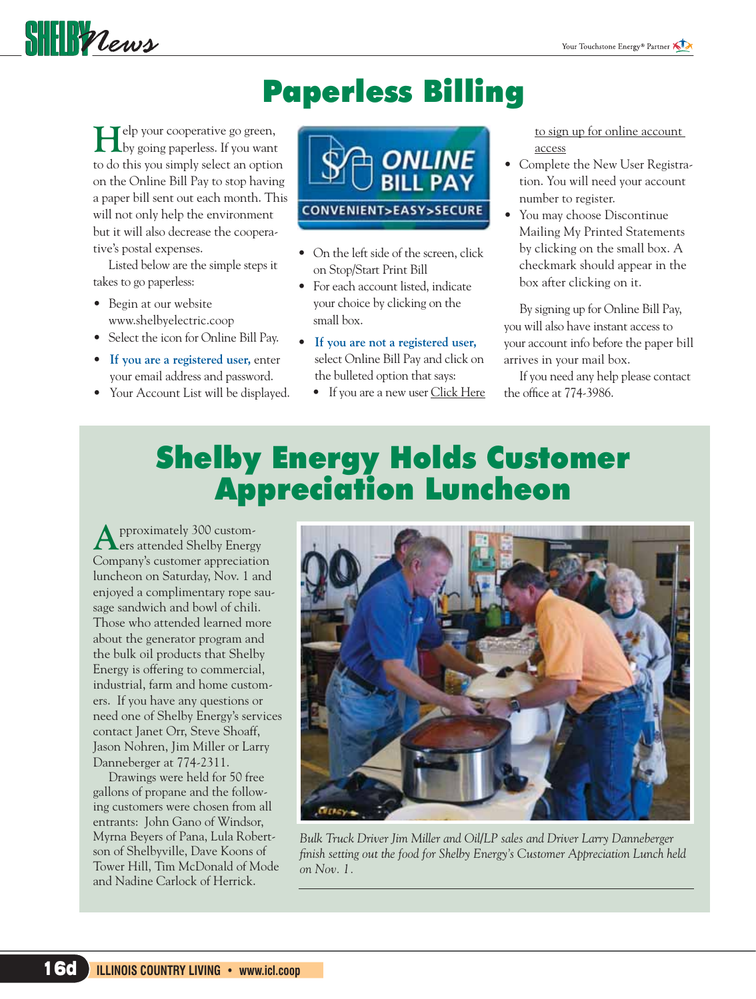

# Paperless Billing

**H**elp your cooperative go green, by going paperless. If you want to do this you simply select an option on the Online Bill Pay to stop having a paper bill sent out each month. This will not only help the environment but it will also decrease the cooperative's postal expenses.

 Listed below are the simple steps it takes to go paperless:

- Begin at our website www.shelbyelectric.coop
- Select the icon for Online Bill Pay.
- **If you are a registered user,** enter your email address and password.
- Your Account List will be displayed.



- On the left side of the screen, click on Stop/Start Print Bill
- For each account listed, indicate your choice by clicking on the small box.
- **If you are not a registered user,** select Online Bill Pay and click on the bulleted option that says:
	- If you are a new user Click Here

 to sign up for online account access

- Complete the New User Registration. You will need your account number to register.
- You may choose Discontinue Mailing My Printed Statements by clicking on the small box. A checkmark should appear in the box after clicking on it.

 By signing up for Online Bill Pay, you will also have instant access to your account info before the paper bill arrives in your mail box.

 If you need any help please contact the office at 774-3986.

### Shelby Energy Holds Customer Appreciation Luncheon

**A**pproximately 300 customers attended Shelby Energy Company's customer appreciation luncheon on Saturday, Nov. 1 and enjoyed a complimentary rope sausage sandwich and bowl of chili. Those who attended learned more about the generator program and the bulk oil products that Shelby Energy is offering to commercial, industrial, farm and home customers. If you have any questions or need one of Shelby Energy's services contact Janet Orr, Steve Shoaff, Jason Nohren, Jim Miller or Larry Danneberger at 774-2311.

 Drawings were held for 50 free gallons of propane and the following customers were chosen from all entrants: John Gano of Windsor, Myrna Beyers of Pana, Lula Robertson of Shelbyville, Dave Koons of Tower Hill, Tim McDonald of Mode and Nadine Carlock of Herrick.



*Bulk Truck Driver Jim Miller and Oil/LP sales and Driver Larry Danneberger*  finish setting out the food for Shelby Energy's Customer Appreciation Lunch held *on Nov. 1.*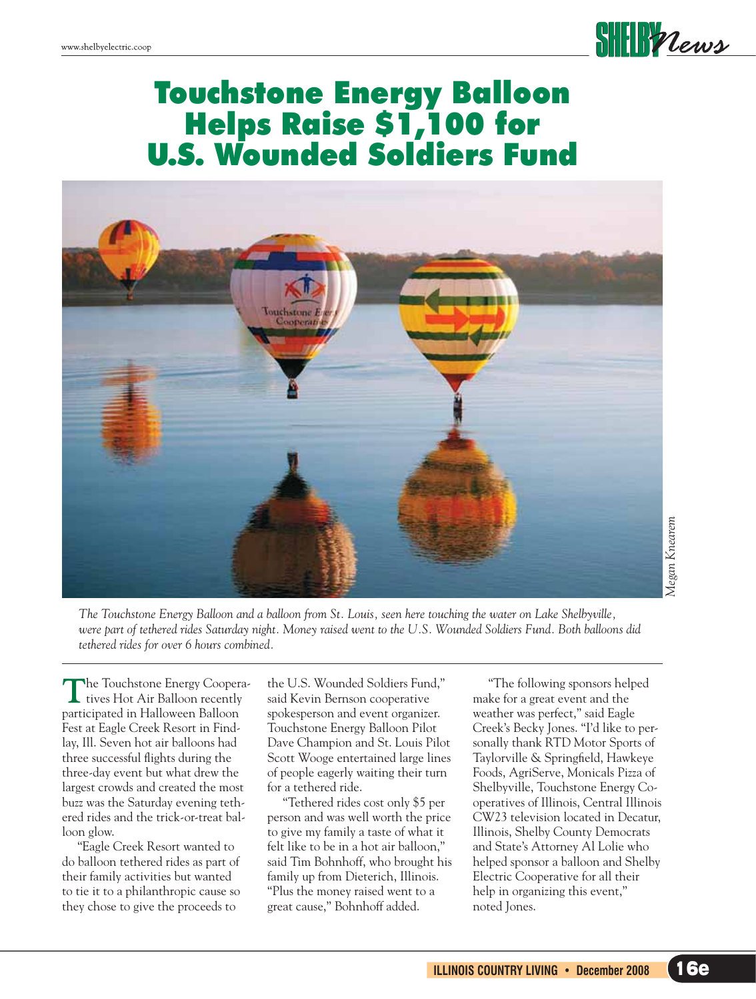

#### Touchstone Energy Balloon Helps Raise \$1,100 for U.S. Wounded Soldiers Fund



*The Touchstone Energy Balloon and a balloon from St. Louis, seen here touching the water on Lake Shelbyville, were part of tethered rides Saturday night. Money raised went to the U.S. Wounded Soldiers Fund. Both balloons did tethered rides for over 6 hours combined.* 

The Touchstone Energy Coopera-<br>tives Hot Air Balloon recently participated in Halloween Balloon Fest at Eagle Creek Resort in Findlay, Ill. Seven hot air balloons had three successful flights during the three-day event but what drew the largest crowds and created the most buzz was the Saturday evening tethered rides and the trick-or-treat balloon glow.

 "Eagle Creek Resort wanted to do balloon tethered rides as part of their family activities but wanted to tie it to a philanthropic cause so they chose to give the proceeds to

the U.S. Wounded Soldiers Fund," said Kevin Bernson cooperative spokesperson and event organizer. Touchstone Energy Balloon Pilot Dave Champion and St. Louis Pilot Scott Wooge entertained large lines of people eagerly waiting their turn for a tethered ride.

 "Tethered rides cost only \$5 per person and was well worth the price to give my family a taste of what it felt like to be in a hot air balloon," said Tim Bohnhoff, who brought his family up from Dieterich, Illinois. "Plus the money raised went to a great cause," Bohnhoff added.

 "The following sponsors helped make for a great event and the weather was perfect," said Eagle Creek's Becky Jones. "I'd like to personally thank RTD Motor Sports of Taylorville & Springfield, Hawkeye Foods, AgriServe, Monicals Pizza of Shelbyville, Touchstone Energy Cooperatives of Illinois, Central Illinois CW23 television located in Decatur, Illinois, Shelby County Democrats and State's Attorney Al Lolie who helped sponsor a balloon and Shelby Electric Cooperative for all their help in organizing this event," noted Jones.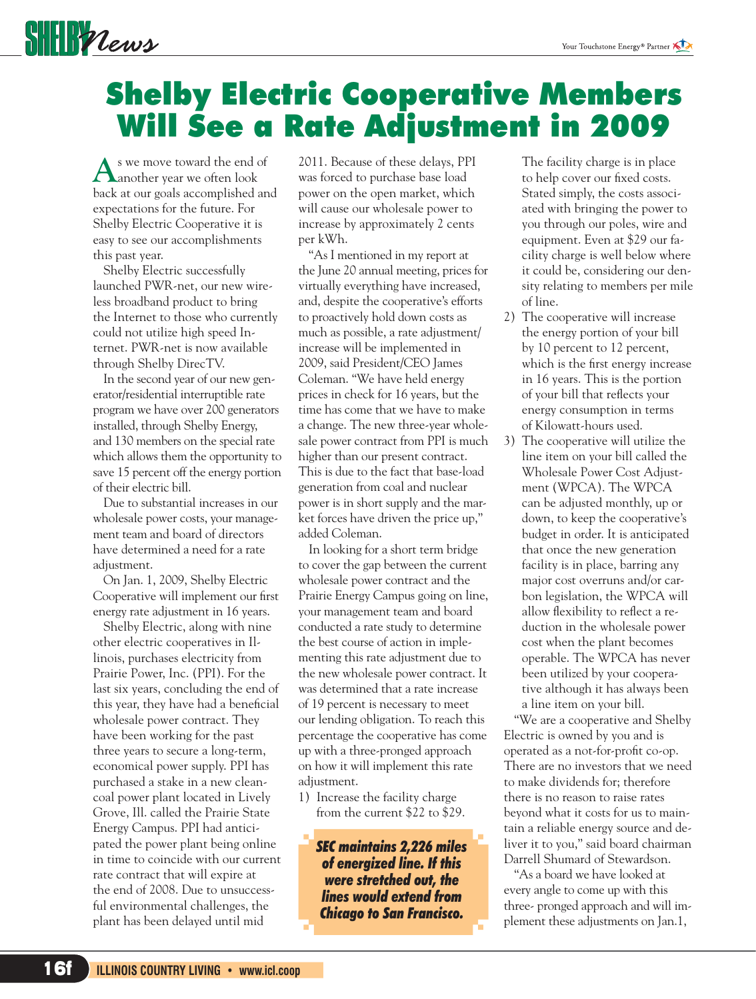

# Shelby Electric Cooperative Members Will See a Rate Adjustment in 2009

**A**s we move toward the end of another year we often look back at our goals accomplished and expectations for the future. For Shelby Electric Cooperative it is easy to see our accomplishments this past year.

 Shelby Electric successfully launched PWR-net, our new wireless broadband product to bring the Internet to those who currently could not utilize high speed Internet. PWR-net is now available through Shelby DirecTV.

 In the second year of our new generator/residential interruptible rate program we have over 200 generators installed, through Shelby Energy, and 130 members on the special rate which allows them the opportunity to save 15 percent off the energy portion of their electric bill.

 Due to substantial increases in our wholesale power costs, your management team and board of directors have determined a need for a rate adjustment.

 On Jan. 1, 2009, Shelby Electric Cooperative will implement our first energy rate adjustment in 16 years.

 Shelby Electric, along with nine other electric cooperatives in Illinois, purchases electricity from Prairie Power, Inc. (PPI). For the last six years, concluding the end of this year, they have had a beneficial wholesale power contract. They have been working for the past three years to secure a long-term, economical power supply. PPI has purchased a stake in a new cleancoal power plant located in Lively Grove, Ill. called the Prairie State Energy Campus. PPI had anticipated the power plant being online in time to coincide with our current rate contract that will expire at the end of 2008. Due to unsuccessful environmental challenges, the plant has been delayed until mid

2011. Because of these delays, PPI was forced to purchase base load power on the open market, which will cause our wholesale power to increase by approximately 2 cents per kWh.

 "As I mentioned in my report at the June 20 annual meeting, prices for virtually everything have increased, and, despite the cooperative's efforts to proactively hold down costs as much as possible, a rate adjustment/ increase will be implemented in 2009, said President/CEO James Coleman. "We have held energy prices in check for 16 years, but the time has come that we have to make a change. The new three-year wholesale power contract from PPI is much higher than our present contract. This is due to the fact that base-load generation from coal and nuclear power is in short supply and the market forces have driven the price up," added Coleman.

 In looking for a short term bridge to cover the gap between the current wholesale power contract and the Prairie Energy Campus going on line, your management team and board conducted a rate study to determine the best course of action in implementing this rate adjustment due to the new wholesale power contract. It was determined that a rate increase of 19 percent is necessary to meet our lending obligation. To reach this percentage the cooperative has come up with a three-pronged approach on how it will implement this rate adjustment.

1) Increase the facility charge from the current \$22 to \$29.

> *SEC maintains 2,226 miles of energized line. If this were stretched out, the lines would extend from Chicago to San Francisco.*

The facility charge is in place to help cover our fixed costs. Stated simply, the costs associated with bringing the power to you through our poles, wire and equipment. Even at \$29 our facility charge is well below where it could be, considering our density relating to members per mile of line.

- 2) The cooperative will increase the energy portion of your bill by 10 percent to 12 percent, which is the first energy increase in 16 years. This is the portion of your bill that reflects your energy consumption in terms of Kilowatt-hours used.
- 3) The cooperative will utilize the line item on your bill called the Wholesale Power Cost Adjustment (WPCA). The WPCA can be adjusted monthly, up or down, to keep the cooperative's budget in order. It is anticipated that once the new generation facility is in place, barring any major cost overruns and/or carbon legislation, the WPCA will allow flexibility to reflect a reduction in the wholesale power cost when the plant becomes operable. The WPCA has never been utilized by your cooperative although it has always been a line item on your bill.

 "We are a cooperative and Shelby Electric is owned by you and is operated as a not-for-profit co-op. There are no investors that we need to make dividends for; therefore there is no reason to raise rates beyond what it costs for us to maintain a reliable energy source and deliver it to you," said board chairman Darrell Shumard of Stewardson.

 "As a board we have looked at every angle to come up with this three- pronged approach and will implement these adjustments on Jan.1,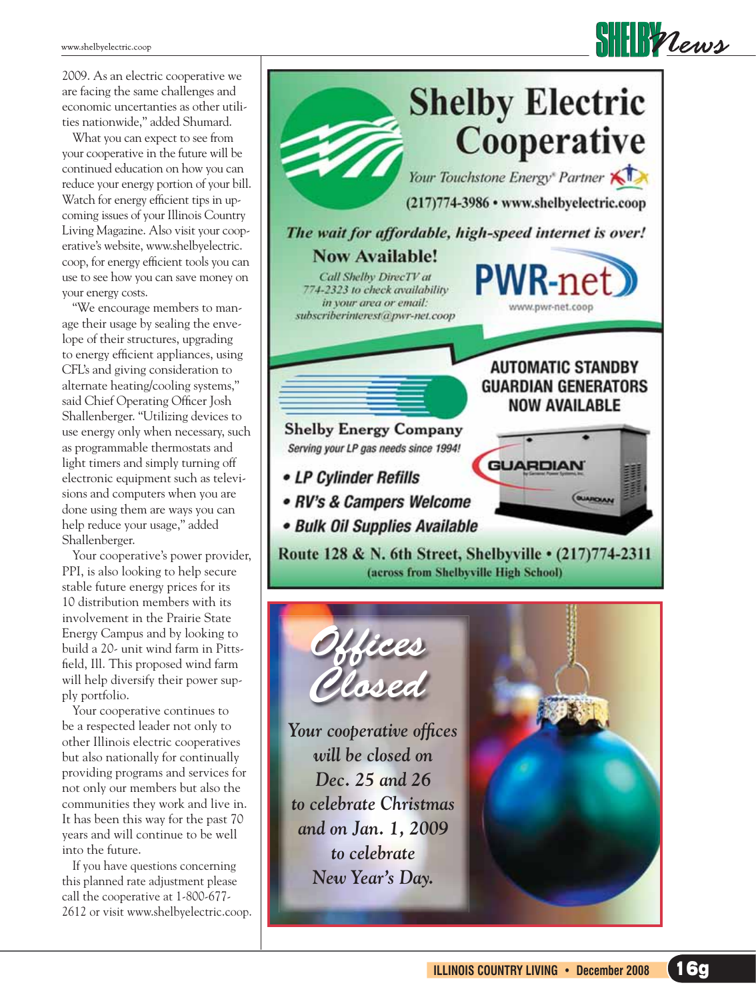2009. As an electric cooperative we are facing the same challenges and economic uncertanties as other utilities nationwide," added Shumard.

 What you can expect to see from your cooperative in the future will be continued education on how you can reduce your energy portion of your bill. Watch for energy efficient tips in upcoming issues of your Illinois Country Living Magazine. Also visit your cooperative's website, www.shelbyelectric. coop, for energy efficient tools you can use to see how you can save money on your energy costs.

 "We encourage members to manage their usage by sealing the envelope of their structures, upgrading to energy efficient appliances, using CFL's and giving consideration to alternate heating/cooling systems," said Chief Operating Officer Josh Shallenberger. "Utilizing devices to use energy only when necessary, such as programmable thermostats and light timers and simply turning off electronic equipment such as televisions and computers when you are done using them are ways you can help reduce your usage," added Shallenberger.

 Your cooperative's power provider, PPI, is also looking to help secure stable future energy prices for its 10 distribution members with its involvement in the Prairie State Energy Campus and by looking to build a 20- unit wind farm in Pittsfield, Ill. This proposed wind farm will help diversify their power supply portfolio.

 Your cooperative continues to be a respected leader not only to other Illinois electric cooperatives but also nationally for continually providing programs and services for not only our members but also the communities they work and live in. It has been this way for the past 70 years and will continue to be well into the future.

 If you have questions concerning this planned rate adjustment please call the cooperative at 1-800-677- 2612 or visit www.shelbyelectric.coop.



Your cooperative offices *will be closed on Dec. 25 and 26 to celebrate Christmas and on Jan. 1, 2009 to celebrate New Year's Day.*

Offices

Closed